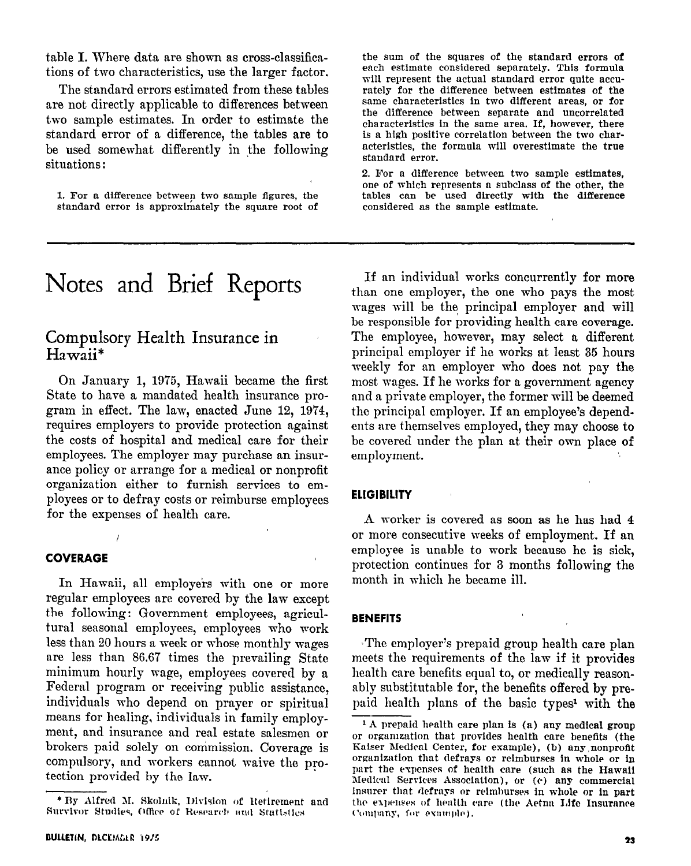table I. Where data are shown as cross-classifications of two characteristics, use the larger factor.

The standard errors estimated from these tables are not directly applicable to differences between two sample estimates. In order to estimate the standard error of a difference, the tables are to be used somewhat differently in the following situations :

1. For a difference between two sample figures, the standard error is approximately the square root of

# Notes and Brief Reports

# Compulsory Health Insurance in Hawaii\*

On January 1, 1975, Hawaii became the first State to have a mandated health insurance program in effect. The law, enacted June 12, 1974, requires employers to provide protection against the costs of hospital and medical care for their employees. The employer may purchase an insurance policy or arrange for a medical or nonprofit organization either to furnish services to employees or to defray costs or reimburse employees for the expenses of health care.

#### COVERAGE

In Hawaii, all employers with one or more regular employees are covered by the law except the following: Government employees, agricultural seasonal employees, employees who work less than 20 hours a week or whose monthly wages are less than 86.67 times the prevailing State minimum hourly wage, employees covered by a Federal program or receiving public assistance, individuals who depend on prayer or spiritual means for healing, individuals in family employment, and insurance and real estate salesmen or brokers paid solely on commission. Coverage is compulsory, and workers cannot waive the protection provided by the law.

the sum of the squares of the standard errors of each estimate considered separately. This formula will represent the actual standard error quite accurately for the difference between estimates of the same characteristics in two different areas, or for the difference between separate and uncorrelated characteristics in the same area. If, however, there is a high positive correlation between the two characteristics, the formula will overestimate the true standard error.

2. For a difference between two sample estimates, one of which represents a subclass of the other, the tables can be used directly with the difference considered as the sample estimate.

If an individual works concurrently for more than one employer, the one who pays the most wages will be the< principal employer and will be responsible for providing health care coverage. The employee, however, may select a different principal employer if he works at least 35 hours meekly for an employer who does not pay the most wages. If he works for a government agency and a private employer, the former will be deemed the principal employer. If an employee's dependents are themselves employed, they may choose to be covered under the plan at their own place of employment.

#### **ELIGIBILITY**

A worker is covered as soon as he has had 4 or more consecutive weeks of employment. If an employee is unable to work because he is sick, protection continues for 3 months following the month in which he became ill.

#### BENEFITS

The employer's prepaid group health care plan meets the requirements of the law if it provides health care benefits equal to, or medically reasonably substitutable for, the benefits offered by prepaid health plans of the basic types<sup>1</sup> with the --

<sup>\*</sup> By Alfred M. Skolnik, Division of Retirement and Survivor Studies, Office of Research and Statistics

<sup>&</sup>lt;sup>1</sup> A prepaid health care plan is (a) any medical group or organization that provides health care benefits (the Kaiser Medical Center, for example), (b) any nonprofit organization that defrays or reimburses in whole or in part the expenses of health care (such as the Hawaii Nedicnl Services Association), or (r) any commercial Insurer that defrays or reimburses in whole or in part the expenses of health care (the Aetna Life Insurance Company, for example).